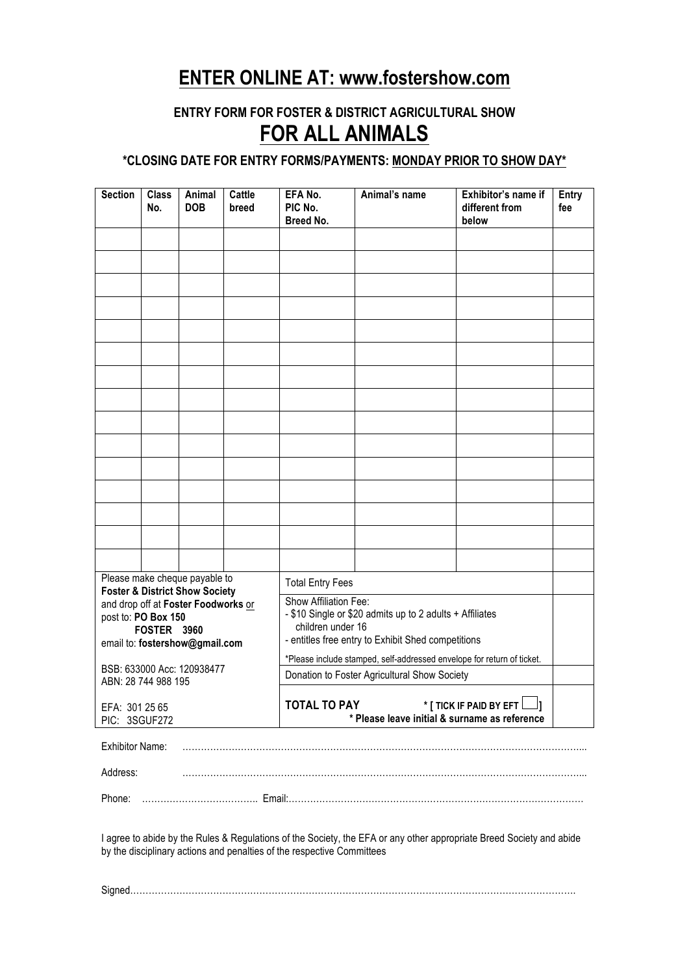# **ENTER ONLINE AT: www.fostershow.com**

## **ENTRY FORM FOR FOSTER & DISTRICT AGRICULTURAL SHOW FOR ALL ANIMALS**

#### **\*CLOSING DATE FOR ENTRY FORMS/PAYMENTS: MONDAY PRIOR TO SHOW DAY\***

| <b>Section</b>                                                                   | <b>Class</b><br>No. | Animal<br><b>DOB</b> | Cattle<br>breed | EFA No.<br>PIC No.<br>Breed No.                                                                                                                              | Animal's name                                                                                                        | Exhibitor's name if<br>different from<br>below | <b>Entry</b><br>fee |
|----------------------------------------------------------------------------------|---------------------|----------------------|-----------------|--------------------------------------------------------------------------------------------------------------------------------------------------------------|----------------------------------------------------------------------------------------------------------------------|------------------------------------------------|---------------------|
|                                                                                  |                     |                      |                 |                                                                                                                                                              |                                                                                                                      |                                                |                     |
|                                                                                  |                     |                      |                 |                                                                                                                                                              |                                                                                                                      |                                                |                     |
|                                                                                  |                     |                      |                 |                                                                                                                                                              |                                                                                                                      |                                                |                     |
|                                                                                  |                     |                      |                 |                                                                                                                                                              |                                                                                                                      |                                                |                     |
|                                                                                  |                     |                      |                 |                                                                                                                                                              |                                                                                                                      |                                                |                     |
|                                                                                  |                     |                      |                 |                                                                                                                                                              |                                                                                                                      |                                                |                     |
|                                                                                  |                     |                      |                 |                                                                                                                                                              |                                                                                                                      |                                                |                     |
|                                                                                  |                     |                      |                 |                                                                                                                                                              |                                                                                                                      |                                                |                     |
|                                                                                  |                     |                      |                 |                                                                                                                                                              |                                                                                                                      |                                                |                     |
|                                                                                  |                     |                      |                 |                                                                                                                                                              |                                                                                                                      |                                                |                     |
|                                                                                  |                     |                      |                 |                                                                                                                                                              |                                                                                                                      |                                                |                     |
|                                                                                  |                     |                      |                 |                                                                                                                                                              |                                                                                                                      |                                                |                     |
|                                                                                  |                     |                      |                 |                                                                                                                                                              |                                                                                                                      |                                                |                     |
|                                                                                  |                     |                      |                 |                                                                                                                                                              |                                                                                                                      |                                                |                     |
|                                                                                  |                     |                      |                 |                                                                                                                                                              |                                                                                                                      |                                                |                     |
|                                                                                  |                     |                      |                 |                                                                                                                                                              |                                                                                                                      |                                                |                     |
| Please make cheque payable to<br><b>Foster &amp; District Show Society</b>       |                     |                      |                 | <b>Total Entry Fees</b>                                                                                                                                      |                                                                                                                      |                                                |                     |
| and drop off at Foster Foodworks or<br>post to: PO Box 150<br><b>FOSTER 3960</b> |                     |                      |                 | Show Affiliation Fee:<br>- \$10 Single or \$20 admits up to 2 adults + Affiliates<br>children under 16<br>- entitles free entry to Exhibit Shed competitions |                                                                                                                      |                                                |                     |
| email to: fostershow@gmail.com                                                   |                     |                      |                 | *Please include stamped, self-addressed envelope for return of ticket.                                                                                       |                                                                                                                      |                                                |                     |
| BSB: 633000 Acc: 120938477<br>ABN: 28 744 988 195                                |                     |                      |                 | Donation to Foster Agricultural Show Society                                                                                                                 |                                                                                                                      |                                                |                     |
| EFA: 301 25 65<br>PIC: 3SGUF272                                                  |                     |                      |                 | * [ TICK IF PAID BY EFT $\Box$ ]<br><b>TOTAL TO PAY</b><br>* Please leave initial & surname as reference                                                     |                                                                                                                      |                                                |                     |
| <b>Exhibitor Name:</b>                                                           |                     |                      |                 |                                                                                                                                                              |                                                                                                                      |                                                |                     |
|                                                                                  |                     |                      |                 |                                                                                                                                                              |                                                                                                                      |                                                |                     |
| Address:                                                                         |                     |                      |                 |                                                                                                                                                              |                                                                                                                      |                                                |                     |
| Phone:                                                                           |                     |                      |                 |                                                                                                                                                              |                                                                                                                      |                                                |                     |
|                                                                                  |                     |                      |                 | by the disciplinary actions and penalties of the respective Committees                                                                                       | I agree to abide by the Rules & Regulations of the Society, the EFA or any other appropriate Breed Society and abide |                                                |                     |
|                                                                                  |                     |                      |                 |                                                                                                                                                              |                                                                                                                      |                                                |                     |